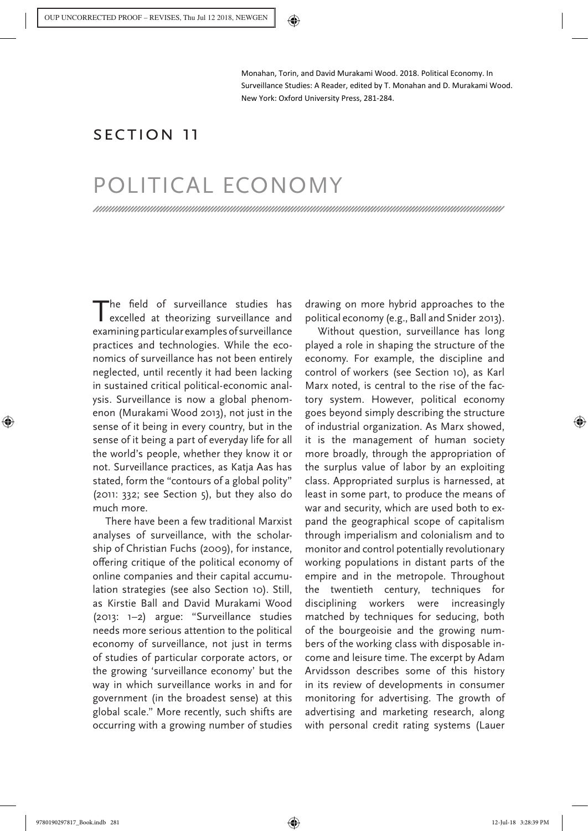Monahan, Torin, and David Murakami Wood. 2018. Political Economy. In Surveillance Studies: A Reader, edited by T. Monahan and D. Murakami Wood. New York: Oxford University Press, 281-284.

## Section 11

# POLITICAL ECONOMY

The field of surveillance studies has excelled at theorizing surveillance and examining particular examples of surveillance practices and technologies. While the economics of surveillance has not been entirely neglected, until recently it had been lacking in sustained critical political-economic analysis. Surveillance is now a global phenomenon (Murakami Wood 2013), not just in the sense of it being in every country, but in the sense of it being a part of everyday life for all the world's people, whether they know it or not. Surveillance practices, as Katja Aas has stated, form the "contours of a global polity" (2011: 332; see Section 5), but they also do much more.

There have been a few traditional Marxist analyses of surveillance, with the scholarship of Christian Fuchs (2009), for instance, offering critique of the political economy of online companies and their capital accumulation strategies (see also Section 10). Still, as Kirstie Ball and David Murakami Wood (2013: 1–2) argue: "Surveillance studies needs more serious attention to the political economy of surveillance, not just in terms of studies of particular corporate actors, or the growing 'surveillance economy' but the way in which surveillance works in and for government (in the broadest sense) at this global scale." More recently, such shifts are occurring with a growing number of studies

drawing on more hybrid approaches to the political economy (e.g., Ball and Snider 2013).

Without question, surveillance has long played a role in shaping the structure of the economy. For example, the discipline and control of workers (see Section 10), as Karl Marx noted, is central to the rise of the factory system. However, political economy goes beyond simply describing the structure of industrial organization. As Marx showed, it is the management of human society more broadly, through the appropriation of the surplus value of labor by an exploiting class. Appropriated surplus is harnessed, at least in some part, to produce the means of war and security, which are used both to expand the geographical scope of capitalism through imperialism and colonialism and to monitor and control potentially revolutionary working populations in distant parts of the empire and in the metropole. Throughout the twentieth century, techniques for disciplining workers were increasingly matched by techniques for seducing, both of the bourgeoisie and the growing numbers of the working class with disposable income and leisure time. The excerpt by Adam Arvidsson describes some of this history in its review of developments in consumer monitoring for advertising. The growth of advertising and marketing research, along with personal credit rating systems (Lauer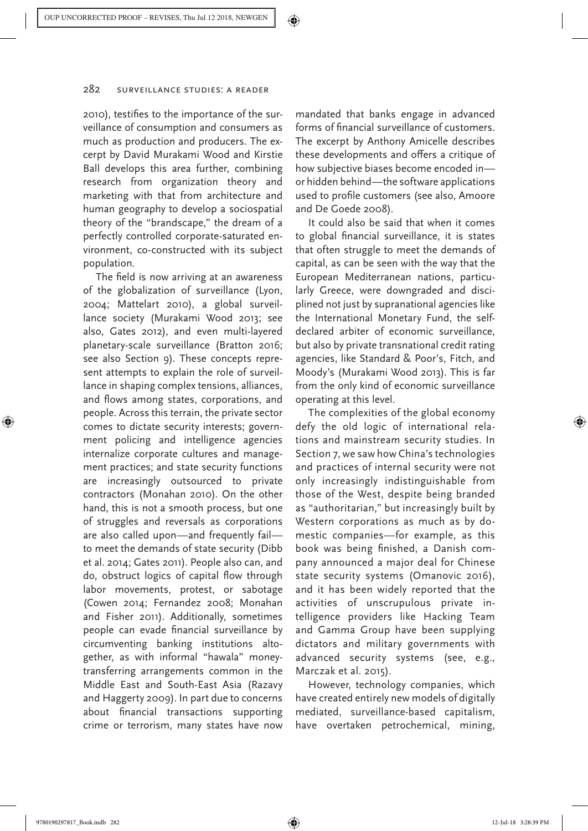2010), testifies to the importance of the surveillance of consumption and consumers as much as production and producers. The excerpt by David Murakami Wood and Kirstie Ball develops this area further, combining research from organization theory and marketing with that from architecture and human geography to develop a sociospatial theory of the "brandscape," the dream of a perfectly controlled corporate-saturated environment, co-constructed with its subject population.

The field is now arriving at an awareness of the globalization of surveillance (Lyon, 2004; Mattelart 2010), a global surveillance society (Murakami Wood 2013; see also, Gates 2012), and even multi-layered planetary-scale surveillance (Bratton 2016; see also Section 9). These concepts represent attempts to explain the role of surveillance in shaping complex tensions, alliances, and flows among states, corporations, and people. Across this terrain, the private sector comes to dictate security interests; government policing and intelligence agencies internalize corporate cultures and management practices; and state security functions are increasingly outsourced to private contractors (Monahan 2010). On the other hand, this is not a smooth process, but one of struggles and reversals as corporations are also called upon—and frequently fail to meet the demands of state security (Dibb et al. 2014; Gates 2011). People also can, and do, obstruct logics of capital flow through labor movements, protest, or sabotage (Cowen 2014; Fernandez 2008; Monahan and Fisher 2011). Additionally, sometimes people can evade financial surveillance by circumventing banking institutions altogether, as with informal "hawala" moneytransferring arrangements common in the Middle East and South-East Asia (Razavy and Haggerty 2009). In part due to concerns about financial transactions supporting crime or terrorism, many states have now

mandated that banks engage in advanced forms of financial surveillance of customers. The excerpt by Anthony Amicelle describes these developments and offers a critique of how subjective biases become encoded in or hidden behind—the software applications used to profile customers (see also, Amoore and De Goede 2008).

It could also be said that when it comes to global financial surveillance, it is states that often struggle to meet the demands of capital, as can be seen with the way that the European Mediterranean nations, particularly Greece, were downgraded and disciplined not just by supranational agencies like the International Monetary Fund, the selfdeclared arbiter of economic surveillance, but also by private transnational credit rating agencies, like Standard & Poor's, Fitch, and Moody's (Murakami Wood 2013). This is far from the only kind of economic surveillance operating at this level.

The complexities of the global economy defy the old logic of international relations and mainstream security studies. In Section 7, we saw how China's technologies and practices of internal security were not only increasingly indistinguishable from those of the West, despite being branded as "authoritarian," but increasingly built by Western corporations as much as by domestic companies—for example, as this book was being finished, a Danish company announced a major deal for Chinese state security systems (Omanovic 2016), and it has been widely reported that the activities of unscrupulous private intelligence providers like Hacking Team and Gamma Group have been supplying dictators and military governments with advanced security systems (see, e.g., Marczak et al. 2015).

However, technology companies, which have created entirely new models of digitally mediated, surveillance-based capitalism, have overtaken petrochemical, mining,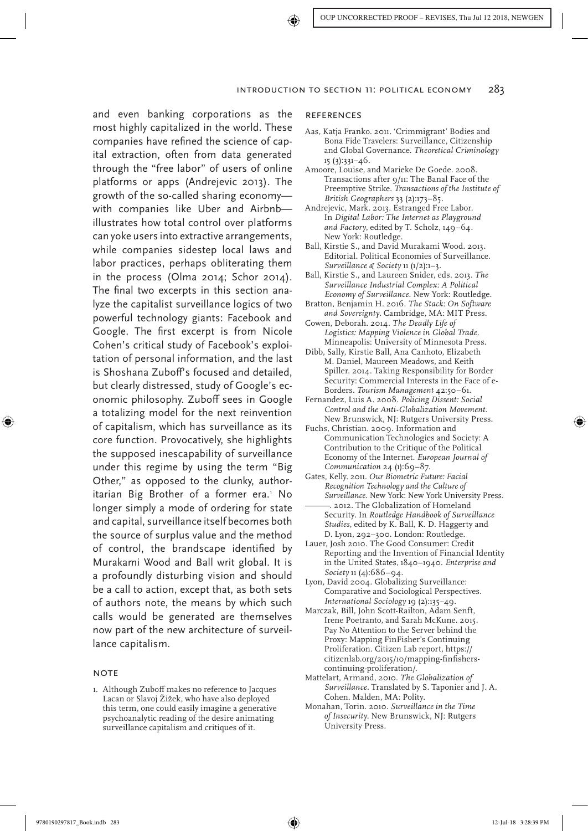and even banking corporations as the most highly capitalized in the world. These companies have refined the science of capital extraction, often from data generated through the "free labor" of users of online platforms or apps (Andrejevic 2013). The growth of the so-called sharing economy with companies like Uber and Airbnb illustrates how total control over platforms can yoke users into extractive arrangements, while companies sidestep local laws and labor practices, perhaps obliterating them in the process (Olma 2014; Schor 2014). The final two excerpts in this section analyze the capitalist surveillance logics of two powerful technology giants: Facebook and Google. The first excerpt is from Nicole Cohen's critical study of Facebook's exploitation of personal information, and the last is Shoshana Zuboff's focused and detailed, but clearly distressed, study of Google's economic philosophy. Zuboff sees in Google a totalizing model for the next reinvention of capitalism, which has surveillance as its core function. Provocatively, she highlights the supposed inescapability of surveillance under this regime by using the term "Big Other," as opposed to the clunky, authoritarian Big Brother of a former era.<sup>1</sup> No longer simply a mode of ordering for state and capital, surveillance itself becomes both the source of surplus value and the method of control, the brandscape identified by Murakami Wood and Ball writ global. It is a profoundly disturbing vision and should be a call to action, except that, as both sets of authors note, the means by which such calls would be generated are themselves now part of the new architecture of surveillance capitalism.

#### **NOTE**

1. Although Zuboff makes no reference to Jacques Lacan or Slavoj Žižek, who have also deployed this term, one could easily imagine a generative psychoanalytic reading of the desire animating surveillance capitalism and critiques of it.

#### **REFERENCES**

- Aas, Katja Franko. 2011. 'Crimmigrant' Bodies and Bona Fide Travelers: Surveillance, Citizenship and Global Governance. *Theoretical Criminology* 15 (3):331–46.
- Amoore, Louise, and Marieke De Goede. 2008. Transactions after 9/11: The Banal Face of the Preemptive Strike. *Transactions of the Institute of British Geographers* 33 (2):173–85.
- Andrejevic, Mark. 2013. Estranged Free Labor. In *Digital Labor: The Internet as Playground and Factory*, edited by T. Scholz, 149–64. New York: Routledge.
- Ball, Kirstie S., and David Murakami Wood. 2013. Editorial. Political Economies of Surveillance. *Surveillance & Society* 11 (1/2):1–3.
- Ball, Kirstie S., and Laureen Snider, eds. 2013. *The Surveillance Industrial Complex: A Political Economy of Surveillance*. New York: Routledge.
- Bratton, Benjamin H. 2016. *The Stack: On Software and Sovereignty*. Cambridge, MA: MIT Press.
- Cowen, Deborah. 2014. *The Deadly Life of Logistics: Mapping Violence in Global Trade*. Minneapolis: University of Minnesota Press.
- Dibb, Sally, Kirstie Ball, Ana Canhoto, Elizabeth M. Daniel, Maureen Meadows, and Keith Spiller. 2014. Taking Responsibility for Border Security: Commercial Interests in the Face of e-Borders. *Tourism Management* 42:50–61.
- Fernandez, Luis A. 2008. *Policing Dissent: Social Control and the Anti-Globalization Movement*. New Brunswick, NJ: Rutgers University Press.
- Fuchs, Christian. 2009. Information and Communication Technologies and Society: A Contribution to the Critique of the Political Economy of the Internet. *European Journal of Communication* 24 (1):69-87.
- Gates, Kelly. 2011. *Our Biometric Future: Facial Recognition Technology and the Culture of Surveillance*. New York: New York University Press. ———. 2012. The Globalization of Homeland Security. In *Routledge Handbook of Surveillance Studies*, edited by K. Ball, K. D. Haggerty and D. Lyon, 292–300. London: Routledge.
- Lauer, Josh 2010. The Good Consumer: Credit Reporting and the Invention of Financial Identity in the United States, 1840–1940. *Enterprise and Society* 11 (4):686–94.
- Lyon, David 2004. Globalizing Surveillance: Comparative and Sociological Perspectives. *International Sociology* 19 (2):135–49.
- Marczak, Bill, John Scott-Railton, Adam Senft, Irene Poetranto, and Sarah McKune. 2015. Pay No Attention to the Server behind the Proxy: Mapping FinFisher's Continuing Proliferation. Citizen Lab report, https:// citizenlab.org/2015/10/mapping-finfisherscontinuing-proliferation/.
- Mattelart, Armand, 2010. *The Globalization of Surveillance*. Translated by S. Taponier and J. A. Cohen. Malden, MA: Polity.
- Monahan, Torin. 2010. *Surveillance in the Time of Insecurity*. New Brunswick, NJ: Rutgers University Press.